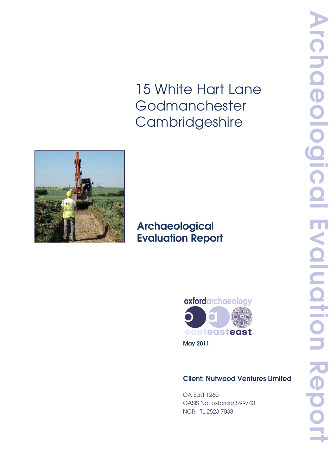15 White Hart Lane Godmanchester **Cambridgeshire** 



# **Archaeological Evaluation Report**



**May 2011**

## **Client: Nutwood Ventures Limited**

OA East 1260 OASIS No: oxfordar3-99740 NGR: TL 2523 7038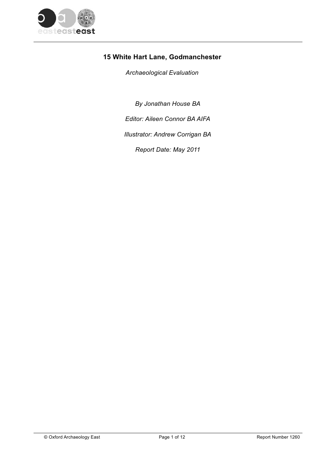

## **15 White Hart Lane, Godmanchester**

*Archaeological Evaluation* 

*By Jonathan House BA*

*Editor: Aileen Connor BA AIFA*

*Illustrator: Andrew Corrigan BA*

*Report Date: May 2011*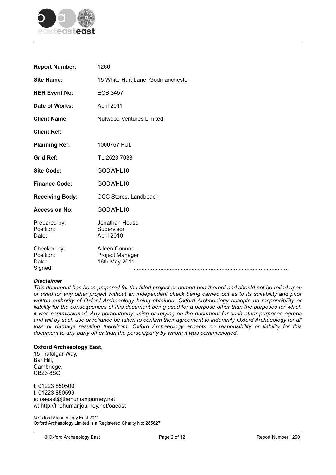

| <b>Report Number:</b>                        | 1260                                              |
|----------------------------------------------|---------------------------------------------------|
| <b>Site Name:</b>                            | 15 White Hart Lane, Godmanchester                 |
| <b>HER Event No:</b>                         | <b>ECB 3457</b>                                   |
| Date of Works:                               | April 2011                                        |
| <b>Client Name:</b>                          | Nutwood Ventures Limited                          |
| <b>Client Ref:</b>                           |                                                   |
| <b>Planning Ref:</b>                         | 1000757 FUL                                       |
| <b>Grid Ref:</b>                             | TL 2523 7038                                      |
| <b>Site Code:</b>                            | GODWHL10                                          |
| <b>Finance Code:</b>                         | GODWHL10                                          |
| <b>Receiving Body:</b>                       | CCC Stores, Landbeach                             |
| <b>Accession No:</b>                         | GODWHL10                                          |
| Prepared by:<br>Position:<br>Date:           | Jonathan House<br>Supervisor<br>April 2010        |
| Checked by:<br>Position:<br>Date:<br>Signed: | Aileen Connor<br>Project Manager<br>16th May 2011 |

#### *Disclaimer*

*This document has been prepared for the titled project or named part thereof and should not be relied upon or used for any other project without an independent check being carried out as to its suitability and prior written authority of Oxford Archaeology being obtained. Oxford Archaeology accepts no responsibility or liability for the consequences of this document being used for a purpose other than the purposes for which it was commissioned. Any person/party using or relying on the document for such other purposes agrees and will by such use or reliance be taken to confirm their agreement to indemnify Oxford Archaeology for all loss or damage resulting therefrom. Oxford Archaeology accepts no responsibility or liability for this document to any party other than the person/party by whom it was commissioned.*

#### **Oxford Archaeology East,**

15 Trafalgar Way, Bar Hill, Cambridge, CB23 8SQ

t: 01223 850500 f: 01223 850599 e: oaeast@thehumanjourney.net w: http://thehumanjourney.net/oaeast

© Oxford Archaeology East 2011 Oxford Archaeology Limited is a Registered Charity No: 285627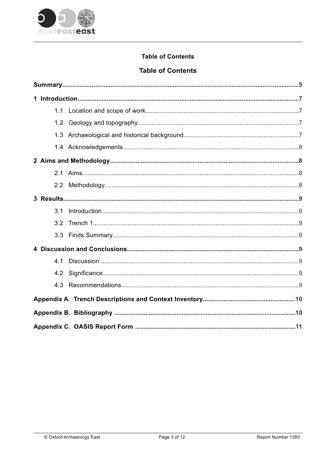

## **Table of Contents**

## **Table of Contents**

| 1.1 |  |
|-----|--|
|     |  |
|     |  |
|     |  |
|     |  |
|     |  |
|     |  |
|     |  |
| 3.1 |  |
| 3.2 |  |
|     |  |
|     |  |
| 4 1 |  |
|     |  |
|     |  |
|     |  |
|     |  |
|     |  |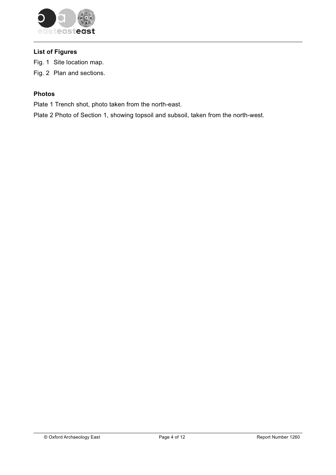

## **List of Figures**

- Fig. 1 Site location map.
- Fig. 2 Plan and sections.

## **Photos**

Plate 1 Trench shot, photo taken from the north-east.

Plate 2 Photo of Section 1, showing topsoil and subsoil, taken from the north-west.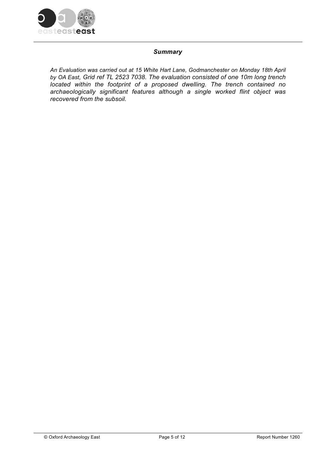

#### *Summary*

*An Evaluation was carried out at 15 White Hart Lane, Godmanchester on Monday 18th April by OA East, Grid ref TL 2523 7038. The evaluation consisted of one 10m long trench located within the footprint of a proposed dwelling. The trench contained no archaeologically significant features although a single worked flint object was recovered from the subsoil.*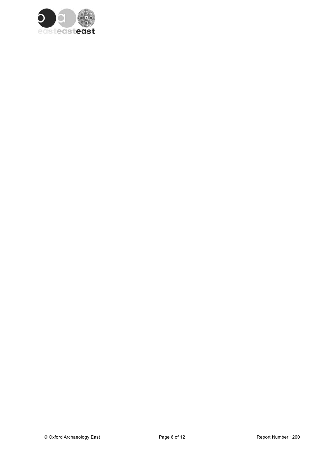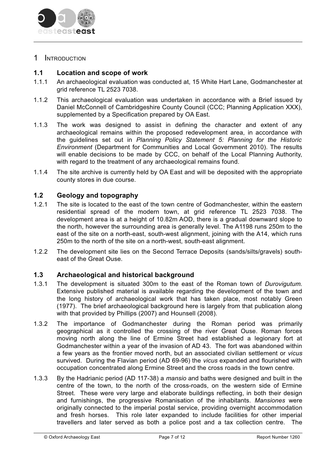

## 1 INTRODUCTION

## **1.1 Location and scope of work**

- 1.1.1 An archaeological evaluation was conducted at, 15 White Hart Lane, Godmanchester at grid reference TL 2523 7038.
- 1.1.2 This archaeological evaluation was undertaken in accordance with a Brief issued by Daniel McConnell of Cambridgeshire County Council (CCC; Planning Application XXX), supplemented by a Specification prepared by OA East.
- 1.1.3 The work was designed to assist in defining the character and extent of any archaeological remains within the proposed redevelopment area, in accordance with the guidelines set out in *Planning Policy Statement 5: Planning for the Historic Environment* (Department for Communities and Local Government 2010). The results will enable decisions to be made by CCC, on behalf of the Local Planning Authority, with regard to the treatment of any archaeological remains found.
- 1.1.4 The site archive is currently held by OA East and will be deposited with the appropriate county stores in due course.

## **1.2 Geology and topography**

- 1.2.1 The site is located to the east of the town centre of Godmanchester, within the eastern residential spread of the modern town, at grid reference TL 2523 7038. The development area is at a height of 10.82m AOD, there is a gradual downward slope to the north, however the surrounding area is generally level. The A1198 runs 250m to the east of the site on a north-east, south-west alignment, joining with the A14, which runs 250m to the north of the site on a north-west, south-east alignment.
- 1.2.2 The development site lies on the Second Terrace Deposits (sands/silts/gravels) southeast of the Great Ouse.

## **1.3 Archaeological and historical background**

- 1.3.1 The development is situated 300m to the east of the Roman town of *Durovigutum.* Extensive published material is available regarding the development of the town and the long history of archaeological work that has taken place, most notably Green (1977). The brief archaeological background here is largely from that publication along with that provided by Phillips (2007) and Hounsell (2008).
- 1.3.2 The importance of Godmanchester during the Roman period was primarily geographical as it controlled the crossing of the river Great Ouse. Roman forces moving north along the line of Ermine Street had established a legionary fort at Godmanchester within a year of the invasion of AD 43. The fort was abandoned within a few years as the frontier moved north, but an associated civilian settlement or *vicus* survived. During the Flavian period (AD 69-96) the *vicus* expanded and flourished with occupation concentrated along Ermine Street and the cross roads in the town centre.
- 1.3.3 By the Hadrianic period (AD 117-38) a *mansio* and baths were designed and built in the centre of the town, to the north of the cross-roads, on the western side of Ermine Street. These were very large and elaborate buildings reflecting, in both their design and furnishings, the progressive Romanisation of the inhabitants. *Mansiones* were originally connected to the imperial postal service, providing overnight accommodation and fresh horses. This role later expanded to include facilities for other imperial travellers and later served as both a police post and a tax collection centre. The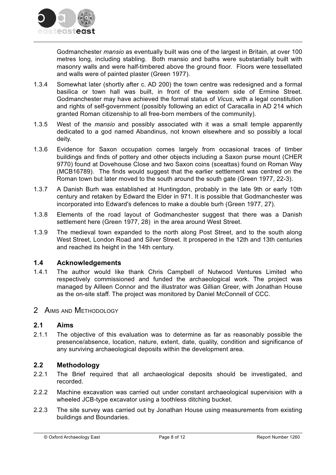

Godmanchester *mansio* as eventually built was one of the largest in Britain, at over 100 metres long, including stabling. Both mansio and baths were substantially built with masonry walls and were half-timbered above the ground floor. Floors were tessellated and walls were of painted plaster (Green 1977).

- 1.3.4 Somewhat later (shortly after c. AD 200) the town centre was redesigned and a formal basilica or town hall was built, in front of the western side of Ermine Street. Godmanchester may have achieved the formal status of *Vicus*, with a legal constitution and rights of self-government (possibly following an edict of Caracalla in AD 214 which granted Roman citizenship to all free-born members of the community).
- 1.3.5 West of the *mansio* and possibly associated with it was a small temple apparently dedicated to a god named Abandinus, not known elsewhere and so possibly a local deity.
- 1.3.6 Evidence for Saxon occupation comes largely from occasional traces of timber buildings and finds of pottery and other objects including a Saxon purse mount (CHER 9770) found at Dovehouse Close and two Saxon coins (sceattas) found on Roman Way (MCB16789). The finds would suggest that the earlier settlement was centred on the Roman town but later moved to the south around the south gate (Green 1977, 22-3).
- 1.3.7 A Danish Burh was established at Huntingdon, probably in the late 9th or early 10th century and retaken by Edward the Elder in 971. It is possible that Godmanchester was incorporated into Edward's defences to make a double burh (Green 1977, 27).
- 1.3.8 Elements of the road layout of Godmanchester suggest that there was a Danish settlement here (Green 1977, 28) in the area around West Street.
- 1.3.9 The medieval town expanded to the north along Post Street, and to the south along West Street, London Road and Silver Street. It prospered in the 12th and 13th centuries and reached its height in the 14th century.

## **1.4 Acknowledgements**

1.4.1 The author would like thank Chris Campbell of Nutwood Ventures Limited who respectively commissioned and funded the archaeological work. The project was managed by Ailleen Connor and the illustrator was Gillian Greer, with Jonathan House as the on-site staff. The project was monitored by Daniel McConnell of CCC.

## 2 AIMS AND METHODOLOGY

#### **2.1 Aims**

2.1.1 The objective of this evaluation was to determine as far as reasonably possible the presence/absence, location, nature, extent, date, quality, condition and significance of any surviving archaeological deposits within the development area.

## **2.2 Methodology**

- 2.2.1 The Brief required that all archaeological deposits should be investigated, and recorded.
- 2.2.2 Machine excavation was carried out under constant archaeological supervision with a wheeled JCB-type excavator using a toothless ditching bucket.
- 2.2.3 The site survey was carried out by Jonathan House using measurements from existing buildings and Boundaries.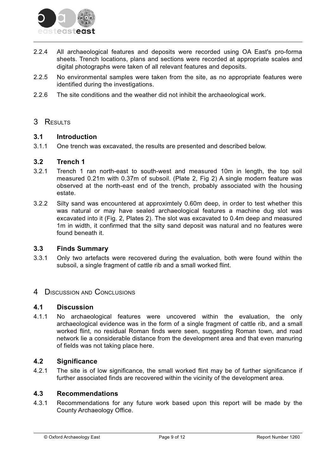

- 2.2.4 All archaeological features and deposits were recorded using OA East's pro-forma sheets. Trench locations, plans and sections were recorded at appropriate scales and digital photographs were taken of all relevant features and deposits.
- 2.2.5 No environmental samples were taken from the site, as no appropriate features were identified during the investigations.
- 2.2.6 The site conditions and the weather did not inhibit the archaeological work.

## 3 RESULTS

#### **3.1 Introduction**

3.1.1 One trench was excavated, the results are presented and described below.

#### **3.2 Trench 1**

- 3.2.1 Trench 1 ran north-east to south-west and measured 10m in length, the top soil measured 0.21m with 0.37m of subsoil. (Plate 2, Fig 2) A single modern feature was observed at the north-east end of the trench, probably associated with the housing estate.
- 3.2.2 Silty sand was encountered at approximtely 0.60m deep, in order to test whether this was natural or may have sealed archaeological features a machine dug slot was excavated into it (Fig. 2, Plates 2). The slot was excavated to 0.4m deep and measured 1m in width, it confirmed that the silty sand deposit was natural and no features were found beneath it.

#### **3.3 Finds Summary**

3.3.1 Only two artefacts were recovered during the evaluation, both were found within the subsoil, a single fragment of cattle rib and a small worked flint.

#### 4 DISCUSSION AND CONCLUSIONS

## **4.1 Discussion**

4.1.1 No archaeological features were uncovered within the evaluation, the only archaeological evidence was in the form of a single fragment of cattle rib, and a small worked flint, no residual Roman finds were seen, suggesting Roman town, and road network lie a considerable distance from the development area and that even manuring of fields was not taking place here.

#### **4.2 Significance**

4.2.1 The site is of low significance, the small worked flint may be of further significance if further associated finds are recovered within the vicinity of the development area.

#### **4.3 Recommendations**

4.3.1 Recommendations for any future work based upon this report will be made by the County Archaeology Office.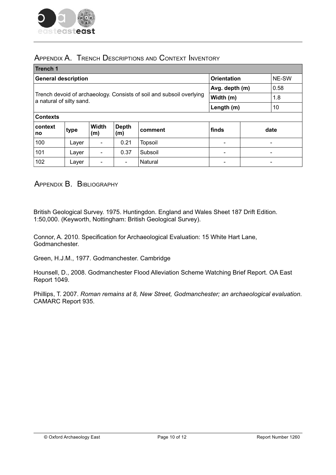

## APPENDIX A. TRENCH DESCRIPTIONS AND CONTEXT INVENTORY

| <b>Trench 1</b>            |       |                          |                     |                                                                      |                    |                          |
|----------------------------|-------|--------------------------|---------------------|----------------------------------------------------------------------|--------------------|--------------------------|
| <b>General description</b> |       |                          |                     |                                                                      | <b>Orientation</b> | NE-SW                    |
|                            |       |                          |                     |                                                                      | Avg. depth (m)     | 0.58                     |
| a natural of silty sand.   |       |                          |                     | Trench devoid of archaeology. Consists of soil and subsoil overlying | Width (m)          | 1.8                      |
|                            |       |                          |                     |                                                                      | Length (m)         | 10                       |
| <b>Contexts</b>            |       |                          |                     |                                                                      |                    |                          |
| context<br>no              | type  | <b>Width</b><br>(m)      | <b>Depth</b><br>(m) | comment                                                              | finds              | date                     |
| 100                        | Layer | $\overline{\phantom{a}}$ | 0.21                | Topsoil                                                              |                    | $\overline{\phantom{0}}$ |
| 101                        | Layer | $\overline{\phantom{a}}$ | 0.37                | Subsoil                                                              | $\,$               |                          |
| 102                        | Layer | -                        | $\blacksquare$      | Natural                                                              |                    |                          |

APPENDIX B. BIBLIOGRAPHY

British Geological Survey. 1975. Huntingdon. England and Wales Sheet 187 Drift Edition. 1:50,000. (Keyworth, Nottingham: British Geological Survey).

Connor, A. 2010. Specification for Archaeological Evaluation: 15 White Hart Lane, Godmanchester.

Green, H.J.M., 1977. Godmanchester. Cambridge

Hounsell, D., 2008. Godmanchester Flood Alleviation Scheme Watching Brief Report. OA East Report 1049.

Phillips, T. 2007. *Roman remains at 8, New Street, Godmanchester; an archaeological evaluation*. CAMARC Report 935.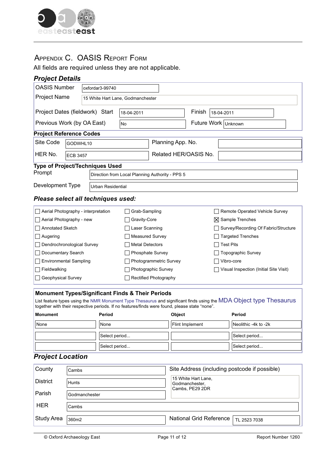

## APPENDIX C. OASIS REPORT FORM

All fields are required unless they are not applicable.

## *Project Details*

| <b>OASIS Number</b>                    |                 | oxfordar3-99740 |                   |                                                                                                                                                              |                        |                   |                                       |                  |                                                                                                                    |  |
|----------------------------------------|-----------------|-----------------|-------------------|--------------------------------------------------------------------------------------------------------------------------------------------------------------|------------------------|-------------------|---------------------------------------|------------------|--------------------------------------------------------------------------------------------------------------------|--|
| Project Name                           |                 |                 |                   | 15 White Hart Lane, Godmanchester                                                                                                                            |                        |                   |                                       |                  |                                                                                                                    |  |
| Project Dates (fieldwork) Start        |                 |                 |                   | 18-04-2011                                                                                                                                                   |                        |                   | Finish                                | 18-04-2011       |                                                                                                                    |  |
| Previous Work (by OA East)             |                 |                 |                   | <b>No</b>                                                                                                                                                    |                        |                   | Future Work Unknown                   |                  |                                                                                                                    |  |
| <b>Project Reference Codes</b>         |                 |                 |                   |                                                                                                                                                              |                        |                   |                                       |                  |                                                                                                                    |  |
| Site Code                              | GODWHL10        |                 |                   |                                                                                                                                                              |                        | Planning App. No. |                                       |                  |                                                                                                                    |  |
| HER No.                                | <b>ECB 3457</b> |                 |                   |                                                                                                                                                              |                        |                   | Related HER/OASIS No.                 |                  |                                                                                                                    |  |
| <b>Type of Project/Techniques Used</b> |                 |                 |                   |                                                                                                                                                              |                        |                   |                                       |                  |                                                                                                                    |  |
| Prompt                                 |                 |                 |                   | Direction from Local Planning Authority - PPS 5                                                                                                              |                        |                   |                                       |                  |                                                                                                                    |  |
| Development Type                       |                 |                 | Urban Residential |                                                                                                                                                              |                        |                   |                                       |                  |                                                                                                                    |  |
| Please select all techniques used:     |                 |                 |                   |                                                                                                                                                              |                        |                   |                                       |                  |                                                                                                                    |  |
| Aerial Photography - interpretation    |                 |                 |                   | Grab-Sampling                                                                                                                                                |                        |                   |                                       |                  | Remote Operated Vehicle Survey                                                                                     |  |
| Aerial Photography - new               |                 |                 |                   | Gravity-Core                                                                                                                                                 |                        |                   |                                       |                  | $\overline{X}$ Sample Trenches                                                                                     |  |
| <b>Annotated Sketch</b>                |                 |                 |                   | Laser Scanning                                                                                                                                               |                        |                   |                                       |                  | Survey/Recording Of Fabric/Structure                                                                               |  |
| Augering                               |                 |                 |                   | <b>Measured Survey</b>                                                                                                                                       |                        |                   |                                       |                  | <b>Targeted Trenches</b>                                                                                           |  |
| Dendrochronological Survey             |                 |                 |                   | <b>Metal Detectors</b>                                                                                                                                       |                        |                   |                                       | <b>Test Pits</b> |                                                                                                                    |  |
| Documentary Search                     |                 |                 |                   |                                                                                                                                                              | Phosphate Survey       |                   |                                       |                  | Topographic Survey                                                                                                 |  |
| <b>Environmental Sampling</b>          |                 |                 |                   |                                                                                                                                                              | Photogrammetric Survey |                   |                                       |                  | Vibro-core                                                                                                         |  |
| Fieldwalking                           |                 |                 |                   |                                                                                                                                                              | Photographic Survey    |                   |                                       |                  | Visual Inspection (Initial Site Visit)                                                                             |  |
| Geophysical Survey                     |                 |                 |                   |                                                                                                                                                              | Rectified Photography  |                   |                                       |                  |                                                                                                                    |  |
|                                        |                 |                 |                   | <b>Monument Types/Significant Finds &amp; Their Periods</b><br>together with their respective periods. If no features/finds were found, please state "none". |                        |                   |                                       |                  | List feature types using the NMR Monument Type Thesaurus and significant finds using the MDA Object type Thesaurus |  |
| <b>Monument</b>                        |                 |                 | Period            |                                                                                                                                                              |                        | Object            |                                       |                  | Period                                                                                                             |  |
| None                                   |                 |                 | None              |                                                                                                                                                              |                        |                   | Flint Implement                       |                  | Neolithic -4k to -2k                                                                                               |  |
|                                        |                 |                 | Select period     |                                                                                                                                                              |                        |                   |                                       |                  | Select period                                                                                                      |  |
|                                        |                 |                 | Select period     |                                                                                                                                                              |                        |                   |                                       |                  | Select period                                                                                                      |  |
| <b>Project Location</b>                |                 |                 |                   |                                                                                                                                                              |                        |                   |                                       |                  |                                                                                                                    |  |
| County                                 | Cambs           |                 |                   |                                                                                                                                                              |                        |                   |                                       |                  | Site Address (including postcode if possible)                                                                      |  |
| <b>District</b>                        | Hunts           |                 |                   |                                                                                                                                                              |                        |                   | 15 White Hart Lane,<br>Godmanchester, |                  |                                                                                                                    |  |
| Parish                                 |                 | Godmanchester   |                   |                                                                                                                                                              |                        |                   | Cambs, PE29 2DR                       |                  |                                                                                                                    |  |
| <b>HER</b>                             | Cambs           |                 |                   |                                                                                                                                                              |                        |                   |                                       |                  |                                                                                                                    |  |
| Study Area                             | 360m2           |                 |                   |                                                                                                                                                              |                        |                   | <b>National Grid Reference</b>        |                  | TL 2523 7038                                                                                                       |  |
|                                        |                 |                 |                   |                                                                                                                                                              |                        |                   |                                       |                  |                                                                                                                    |  |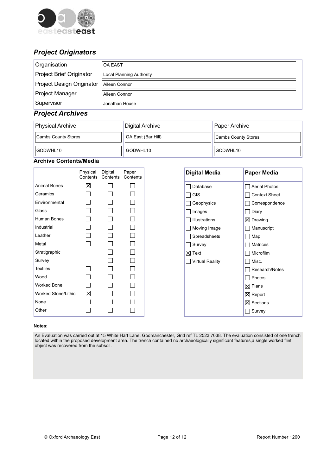

## *Project Originators*

| Organisation              | <b>OA EAST</b>                  |
|---------------------------|---------------------------------|
| Project Brief Originator  | <b>Local Planning Authority</b> |
| Project Design Originator | Aileen Connor                   |
| Project Manager           | Aileen Connor                   |
| Supervisor                | Jonathan House                  |

## *Project Archives*

| <b>Physical Archive</b>    | Digital Archive    | Paper Archive       |
|----------------------------|--------------------|---------------------|
| <b>Cambs County Stores</b> | OA East (Bar Hill) | Cambs County Stores |
| GODWHL10                   | GODWHL10           | GODWHL10            |

## **Archive Contents/Media**

|                            | Physical<br>Contents | Digital<br>Contents | Paper<br>Contents |
|----------------------------|----------------------|---------------------|-------------------|
| <b>Animal Bones</b>        | ⊠                    |                     |                   |
| Ceramics                   |                      |                     |                   |
| Environmental              |                      |                     |                   |
| Glass                      |                      |                     |                   |
| Human Bones                |                      |                     |                   |
| Industrial                 |                      |                     |                   |
| Leather                    |                      |                     |                   |
| Metal                      | $\mathbf{I}$         |                     |                   |
| Stratigraphic              |                      |                     |                   |
| Survey                     |                      |                     |                   |
| <b>Textiles</b>            |                      |                     |                   |
| Wood                       |                      |                     |                   |
| <b>Worked Bone</b>         |                      |                     |                   |
| <b>Worked Stone/Lithic</b> | $\boxtimes$          |                     |                   |
| None                       |                      |                     |                   |
| Other                      |                      |                     |                   |

#### **Notes:**

An Evaluation was carried out at 15 White Hart Lane, Godmanchester, Grid ref TL 2523 7038. The evaluation consisted of one trench located within the proposed development area. The trench contained no archaeologically significant features,a single worked flint object was recovered from the subsoil.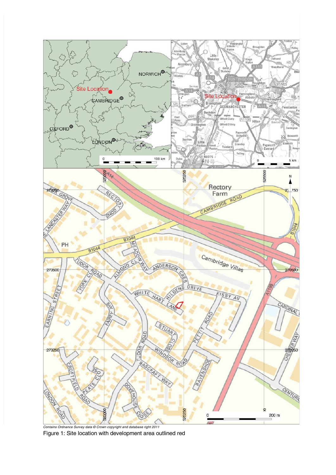

Figure 1: Site location with development area outlined red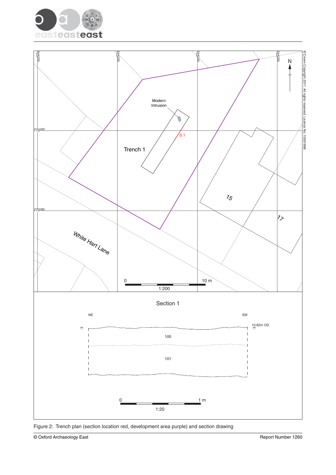



Figure 2: Trench plan (section location red, development area purple) and section drawing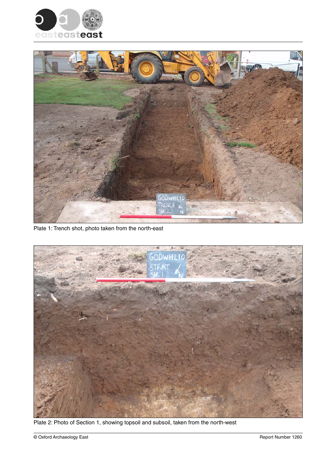



Plate 1: Trench shot, photo taken from the north-east



Plate 2: Photo of Section 1, showing topsoil and subsoil, taken from the north-west